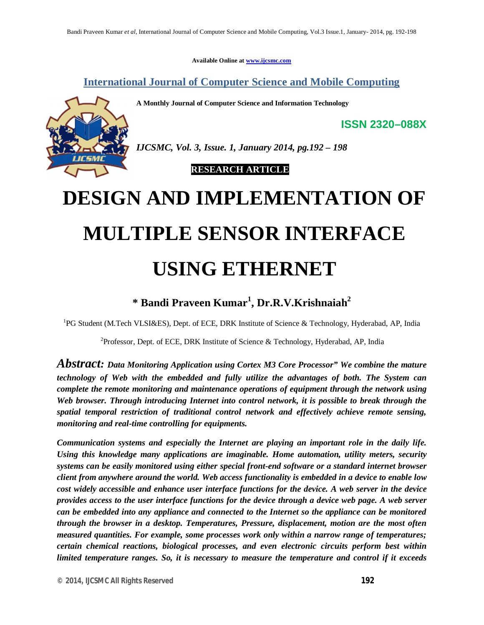**Available Online at www.ijcsmc.com**

**International Journal of Computer Science and Mobile Computing**

**A Monthly Journal of Computer Science and Information Technology**



*IJCSMC, Vol. 3, Issue. 1, January 2014, pg.192 – 198*

 **RESEARCH ARTICLE**

# **DESIGN AND IMPLEMENTATION OF MULTIPLE SENSOR INTERFACE USING ETHERNET**

## **\* Bandi Praveen Kumar<sup>1</sup> , Dr.R.V.Krishnaiah<sup>2</sup>**

<sup>1</sup>PG Student (M.Tech VLSI&ES), Dept. of ECE, DRK Institute of Science & Technology, Hyderabad, AP, India

<sup>2</sup>Professor, Dept. of ECE, DRK Institute of Science & Technology, Hyderabad, AP, India

*Abstract: Data Monitoring Application using Cortex M3 Core Processor" We combine the mature technology of Web with the embedded and fully utilize the advantages of both. The System can complete the remote monitoring and maintenance operations of equipment through the network using Web browser. Through introducing Internet into control network, it is possible to break through the spatial temporal restriction of traditional control network and effectively achieve remote sensing, monitoring and real-time controlling for equipments.* 

*Communication systems and especially the Internet are playing an important role in the daily life. Using this knowledge many applications are imaginable. Home automation, utility meters, security systems can be easily monitored using either special front-end software or a standard internet browser client from anywhere around the world. Web access functionality is embedded in a device to enable low cost widely accessible and enhance user interface functions for the device. A web server in the device provides access to the user interface functions for the device through a device web page. A web server can be embedded into any appliance and connected to the Internet so the appliance can be monitored through the browser in a desktop. Temperatures, Pressure, displacement, motion are the most often measured quantities. For example, some processes work only within a narrow range of temperatures; certain chemical reactions, biological processes, and even electronic circuits perform best within limited temperature ranges. So, it is necessary to measure the temperature and control if it exceeds*

**ISSN 2320–088X**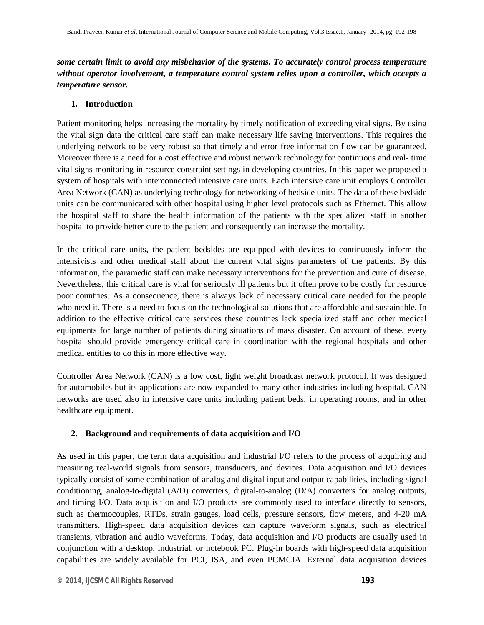*some certain limit to avoid any misbehavior of the systems. To accurately control process temperature without operator involvement, a temperature control system relies upon a controller, which accepts a temperature sensor.*

#### **1. Introduction**

Patient monitoring helps increasing the mortality by timely notification of exceeding vital signs. By using the vital sign data the critical care staff can make necessary life saving interventions. This requires the underlying network to be very robust so that timely and error free information flow can be guaranteed. Moreover there is a need for a cost effective and robust network technology for continuous and real- time vital signs monitoring in resource constraint settings in developing countries. In this paper we proposed a system of hospitals with interconnected intensive care units. Each intensive care unit employs Controller Area Network (CAN) as underlying technology for networking of bedside units. The data of these bedside units can be communicated with other hospital using higher level protocols such as Ethernet. This allow the hospital staff to share the health information of the patients with the specialized staff in another hospital to provide better cure to the patient and consequently can increase the mortality.

In the critical care units, the patient bedsides are equipped with devices to continuously inform the intensivists and other medical staff about the current vital signs parameters of the patients. By this information, the paramedic staff can make necessary interventions for the prevention and cure of disease. Nevertheless, this critical care is vital for seriously ill patients but it often prove to be costly for resource poor countries. As a consequence, there is always lack of necessary critical care needed for the people who need it. There is a need to focus on the technological solutions that are affordable and sustainable. In addition to the effective critical care services these countries lack specialized staff and other medical equipments for large number of patients during situations of mass disaster. On account of these, every hospital should provide emergency critical care in coordination with the regional hospitals and other medical entities to do this in more effective way.

Controller Area Network (CAN) is a low cost, light weight broadcast network protocol. It was designed for automobiles but its applications are now expanded to many other industries including hospital. CAN networks are used also in intensive care units including patient beds, in operating rooms, and in other healthcare equipment.

#### **2. Background and requirements of data acquisition and I/O**

As used in this paper, the term data acquisition and industrial I/O refers to the process of acquiring and measuring real-world signals from sensors, transducers, and devices. Data acquisition and I/O devices typically consist of some combination of analog and digital input and output capabilities, including signal conditioning, analog-to-digital (A/D) converters, digital-to-analog (D/A) converters for analog outputs, and timing I/O. Data acquisition and I/O products are commonly used to interface directly to sensors, such as thermocouples, RTDs, strain gauges, load cells, pressure sensors, flow meters, and 4-20 mA transmitters. High-speed data acquisition devices can capture waveform signals, such as electrical transients, vibration and audio waveforms. Today, data acquisition and I/O products are usually used in conjunction with a desktop, industrial, or notebook PC. Plug-in boards with high-speed data acquisition capabilities are widely available for PCI, ISA, and even PCMCIA. External data acquisition devices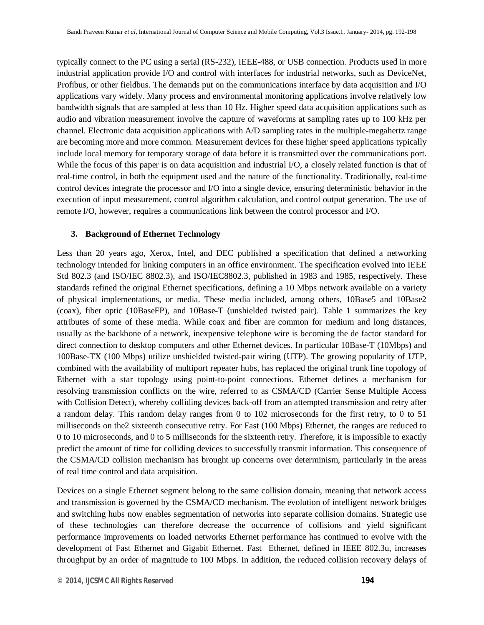typically connect to the PC using a serial (RS-232), IEEE-488, or USB connection. Products used in more industrial application provide I/O and control with interfaces for industrial networks, such as DeviceNet, Profibus, or other fieldbus. The demands put on the communications interface by data acquisition and I/O applications vary widely. Many process and environmental monitoring applications involve relatively low bandwidth signals that are sampled at less than 10 Hz. Higher speed data acquisition applications such as audio and vibration measurement involve the capture of waveforms at sampling rates up to 100 kHz per channel. Electronic data acquisition applications with A/D sampling rates in the multiple-megahertz range are becoming more and more common. Measurement devices for these higher speed applications typically include local memory for temporary storage of data before it is transmitted over the communications port. While the focus of this paper is on data acquisition and industrial I/O, a closely related function is that of real-time control, in both the equipment used and the nature of the functionality. Traditionally, real-time control devices integrate the processor and I/O into a single device, ensuring deterministic behavior in the execution of input measurement, control algorithm calculation, and control output generation. The use of remote I/O, however, requires a communications link between the control processor and I/O.

#### **3. Background of Ethernet Technology**

Less than 20 years ago, Xerox, Intel, and DEC published a specification that defined a networking technology intended for linking computers in an office environment. The specification evolved into IEEE Std 802.3 (and ISO/IEC 8802.3), and ISO/IEC8802.3, published in 1983 and 1985, respectively. These standards refined the original Ethernet specifications, defining a 10 Mbps network available on a variety of physical implementations, or media. These media included, among others, 10Base5 and 10Base2 (coax), fiber optic (10BaseFP), and 10Base-T (unshielded twisted pair). Table 1 summarizes the key attributes of some of these media. While coax and fiber are common for medium and long distances, usually as the backbone of a network, inexpensive telephone wire is becoming the de factor standard for direct connection to desktop computers and other Ethernet devices. In particular 10Base-T (10Mbps) and 100Base-TX (100 Mbps) utilize unshielded twisted-pair wiring (UTP). The growing popularity of UTP, combined with the availability of multiport repeater hubs, has replaced the original trunk line topology of Ethernet with a star topology using point-to-point connections. Ethernet defines a mechanism for resolving transmission conflicts on the wire, referred to as CSMA/CD (Carrier Sense Multiple Access with Collision Detect), whereby colliding devices back-off from an attempted transmission and retry after a random delay. This random delay ranges from 0 to 102 microseconds for the first retry, to 0 to 51 milliseconds on the2 sixteenth consecutive retry. For Fast (100 Mbps) Ethernet, the ranges are reduced to 0 to 10 microseconds, and 0 to 5 milliseconds for the sixteenth retry. Therefore, it is impossible to exactly predict the amount of time for colliding devices to successfully transmit information. This consequence of the CSMA/CD collision mechanism has brought up concerns over determinism, particularly in the areas of real time control and data acquisition.

Devices on a single Ethernet segment belong to the same collision domain, meaning that network access and transmission is governed by the CSMA/CD mechanism. The evolution of intelligent network bridges and switching hubs now enables segmentation of networks into separate collision domains. Strategic use of these technologies can therefore decrease the occurrence of collisions and yield significant performance improvements on loaded networks Ethernet performance has continued to evolve with the development of Fast Ethernet and Gigabit Ethernet. Fast Ethernet, defined in IEEE 802.3u, increases throughput by an order of magnitude to 100 Mbps. In addition, the reduced collision recovery delays of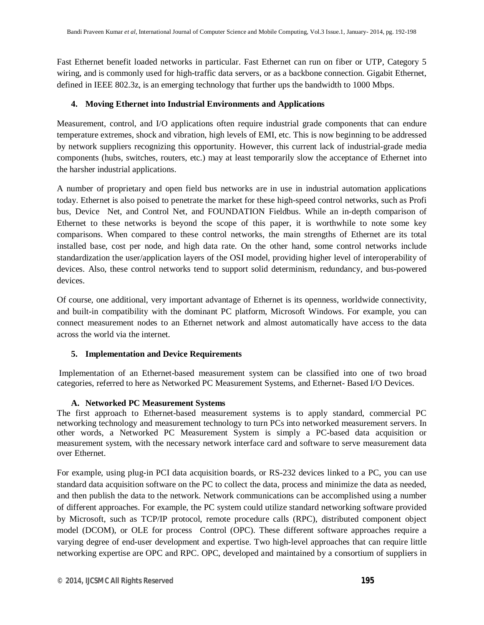Fast Ethernet benefit loaded networks in particular. Fast Ethernet can run on fiber or UTP, Category 5 wiring, and is commonly used for high-traffic data servers, or as a backbone connection. Gigabit Ethernet, defined in IEEE 802.3z, is an emerging technology that further ups the bandwidth to 1000 Mbps.

#### **4. Moving Ethernet into Industrial Environments and Applications**

Measurement, control, and I/O applications often require industrial grade components that can endure temperature extremes, shock and vibration, high levels of EMI, etc. This is now beginning to be addressed by network suppliers recognizing this opportunity. However, this current lack of industrial-grade media components (hubs, switches, routers, etc.) may at least temporarily slow the acceptance of Ethernet into the harsher industrial applications.

A number of proprietary and open field bus networks are in use in industrial automation applications today. Ethernet is also poised to penetrate the market for these high-speed control networks, such as Profi bus, Device Net, and Control Net, and FOUNDATION Fieldbus. While an in-depth comparison of Ethernet to these networks is beyond the scope of this paper, it is worthwhile to note some key comparisons. When compared to these control networks, the main strengths of Ethernet are its total installed base, cost per node, and high data rate. On the other hand, some control networks include standardization the user/application layers of the OSI model, providing higher level of interoperability of devices. Also, these control networks tend to support solid determinism, redundancy, and bus-powered devices.

Of course, one additional, very important advantage of Ethernet is its openness, worldwide connectivity, and built-in compatibility with the dominant PC platform, Microsoft Windows. For example, you can connect measurement nodes to an Ethernet network and almost automatically have access to the data across the world via the internet.

#### **5. Implementation and Device Requirements**

Implementation of an Ethernet-based measurement system can be classified into one of two broad categories, referred to here as Networked PC Measurement Systems, and Ethernet- Based I/O Devices.

#### **A. Networked PC Measurement Systems**

The first approach to Ethernet-based measurement systems is to apply standard, commercial PC networking technology and measurement technology to turn PCs into networked measurement servers. In other words, a Networked PC Measurement System is simply a PC-based data acquisition or measurement system, with the necessary network interface card and software to serve measurement data over Ethernet.

For example, using plug-in PCI data acquisition boards, or RS-232 devices linked to a PC, you can use standard data acquisition software on the PC to collect the data, process and minimize the data as needed, and then publish the data to the network. Network communications can be accomplished using a number of different approaches. For example, the PC system could utilize standard networking software provided by Microsoft, such as TCP/IP protocol, remote procedure calls (RPC), distributed component object model (DCOM), or OLE for process Control (OPC). These different software approaches require a varying degree of end-user development and expertise. Two high-level approaches that can require little networking expertise are OPC and RPC. OPC, developed and maintained by a consortium of suppliers in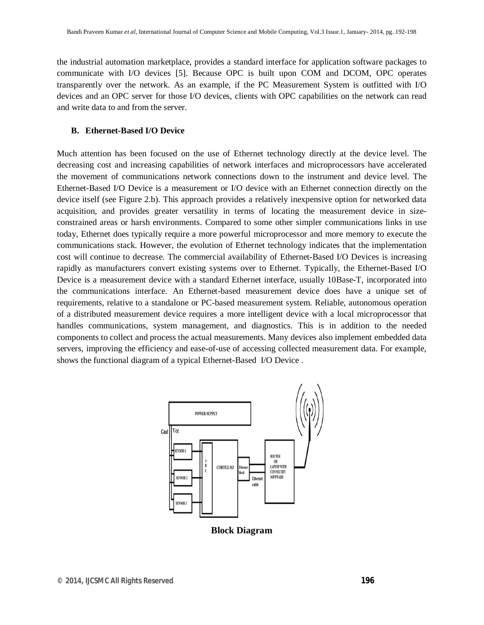the industrial automation marketplace, provides a standard interface for application software packages to communicate with I/O devices [5]. Because OPC is built upon COM and DCOM, OPC operates transparently over the network. As an example, if the PC Measurement System is outfitted with I/O devices and an OPC server for those I/O devices, clients with OPC capabilities on the network can read and write data to and from the server.

#### **B. Ethernet-Based I/O Device**

Much attention has been focused on the use of Ethernet technology directly at the device level. The decreasing cost and increasing capabilities of network interfaces and microprocessors have accelerated the movement of communications network connections down to the instrument and device level. The Ethernet-Based I/O Device is a measurement or I/O device with an Ethernet connection directly on the device itself (see Figure 2.b). This approach provides a relatively inexpensive option for networked data acquisition, and provides greater versatility in terms of locating the measurement device in sizeconstrained areas or harsh environments. Compared to some other simpler communications links in use today, Ethernet does typically require a more powerful microprocessor and more memory to execute the communications stack. However, the evolution of Ethernet technology indicates that the implementation cost will continue to decrease. The commercial availability of Ethernet-Based I/O Devices is increasing rapidly as manufacturers convert existing systems over to Ethernet. Typically, the Ethernet-Based I/O Device is a measurement device with a standard Ethernet interface, usually 10Base-T, incorporated into the communications interface. An Ethernet-based measurement device does have a unique set of requirements, relative to a standalone or PC-based measurement system. Reliable, autonomous operation of a distributed measurement device requires a more intelligent device with a local microprocessor that handles communications, system management, and diagnostics. This is in addition to the needed components to collect and process the actual measurements. Many devices also implement embedded data servers, improving the efficiency and ease-of-use of accessing collected measurement data. For example, shows the functional diagram of a typical Ethernet-Based I/O Device .



**Block Diagram**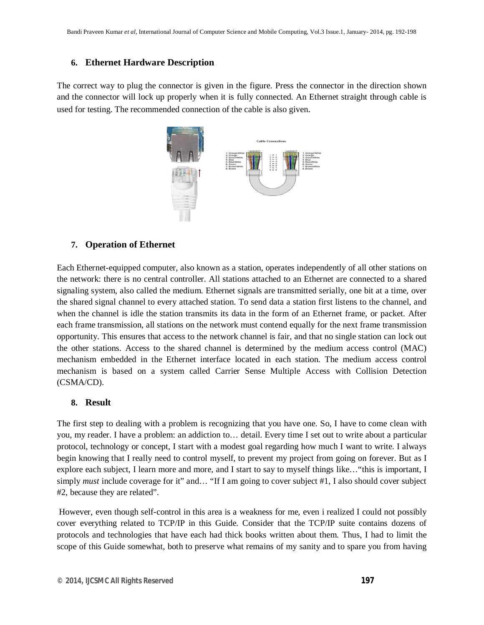#### **6. Ethernet Hardware Description**

The correct way to plug the connector is given in the figure. Press the connector in the direction shown and the connector will lock up properly when it is fully connected. An Ethernet straight through cable is used for testing. The recommended connection of the cable is also given.



#### **7. Operation of Ethernet**

Each Ethernet-equipped computer, also known as a station, operates independently of all other stations on the network: there is no central controller. All stations attached to an Ethernet are connected to a shared signaling system, also called the medium. Ethernet signals are transmitted serially, one bit at a time, over the shared signal channel to every attached station. To send data a station first listens to the channel, and when the channel is idle the station transmits its data in the form of an Ethernet frame, or packet. After each frame transmission, all stations on the network must contend equally for the next frame transmission opportunity. This ensures that access to the network channel is fair, and that no single station can lock out the other stations. Access to the shared channel is determined by the medium access control (MAC) mechanism embedded in the Ethernet interface located in each station. The medium access control mechanism is based on a system called Carrier Sense Multiple Access with Collision Detection (CSMA/CD).

#### **8. Result**

The first step to dealing with a problem is recognizing that you have one. So, I have to come clean with you, my reader. I have a problem: an addiction to… detail. Every time I set out to write about a particular protocol, technology or concept, I start with a modest goal regarding how much I want to write. I always begin knowing that I really need to control myself, to prevent my project from going on forever. But as I explore each subject, I learn more and more, and I start to say to myself things like…"this is important, I simply *must* include coverage for it" and… "If I am going to cover subject #1, I also should cover subject #2, because they are related".

However, even though self-control in this area is a weakness for me, even i realized I could not possibly cover everything related to TCP/IP in this Guide. Consider that the TCP/IP suite contains dozens of protocols and technologies that have each had thick books written about them. Thus, I had to limit the scope of this Guide somewhat, both to preserve what remains of my sanity and to spare you from having